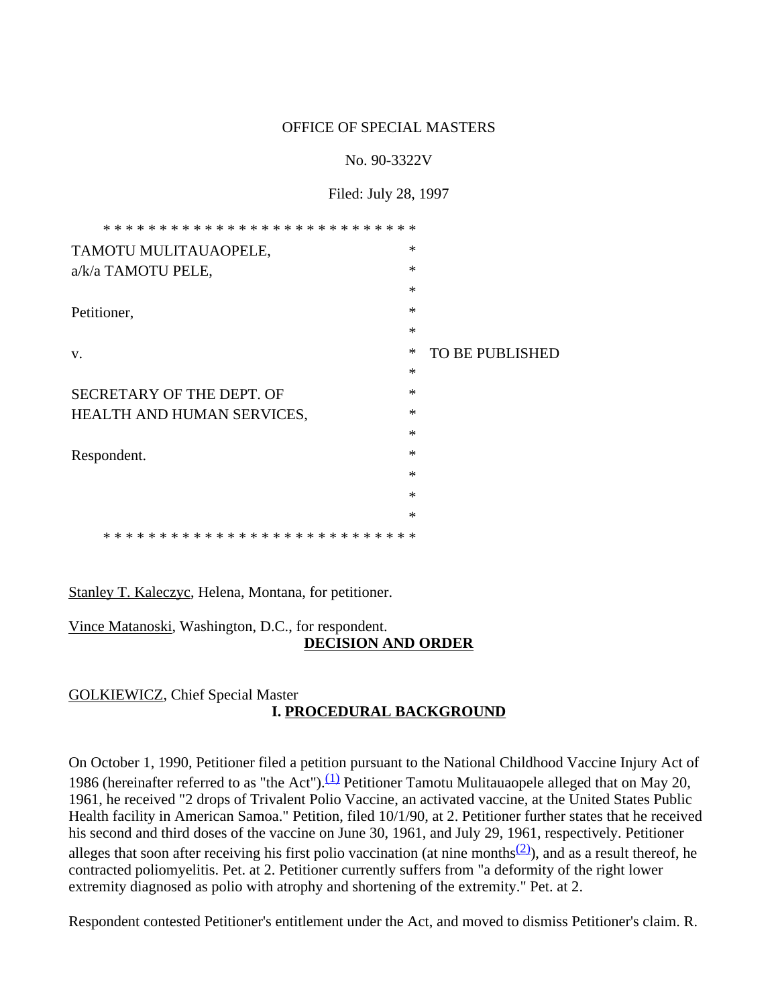#### OFFICE OF SPECIAL MASTERS

#### No. 90-3322V

#### Filed: July 28, 1997

| TAMOTU MULITAUAOPELE,                                         | $\ast$ |                        |
|---------------------------------------------------------------|--------|------------------------|
| a/k/a TAMOTU PELE,                                            | $\ast$ |                        |
|                                                               | $\ast$ |                        |
| Petitioner,                                                   | $\ast$ |                        |
|                                                               | $\ast$ |                        |
| V.                                                            | ∗      | <b>TO BE PUBLISHED</b> |
|                                                               | $\ast$ |                        |
| SECRETARY OF THE DEPT. OF                                     | $\ast$ |                        |
| HEALTH AND HUMAN SERVICES,                                    | $\ast$ |                        |
|                                                               | $\ast$ |                        |
| Respondent.                                                   | $\ast$ |                        |
|                                                               | $\ast$ |                        |
|                                                               | $\ast$ |                        |
|                                                               | $\ast$ |                        |
| * *<br>* * * * * * *<br>* * * * * * *<br>$* *$<br>∗<br>∗<br>∗ |        |                        |

Stanley T. Kaleczyc, Helena, Montana, for petitioner.

Vince Matanoski, Washington, D.C., for respondent. **DECISION AND ORDER**

#### GOLKIEWICZ, Chief Special Master **I. PROCEDURAL BACKGROUND**

On October 1, 1990, Petitioner filed a petition pursuant to the National Childhood Vaccine Injury Act of 1986 (hereinafter referred to as "the Act"). $(1)$  Petitioner Tamotu Mulitauaopele alleged that on May 20, 1961, he received "2 drops of Trivalent Polio Vaccine, an activated vaccine, at the United States Public Health facility in American Samoa." Petition, filed 10/1/90, at 2. Petitioner further states that he received his second and third doses of the vaccine on June 30, 1961, and July 29, 1961, respectively. Petitioner alleges that soon after receiving his first polio vaccination (at nine months<sup>(2)</sup>), and as a result thereof, he contracted poliomyelitis. Pet. at 2. Petitioner currently suffers from "a deformity of the right lower extremity diagnosed as polio with atrophy and shortening of the extremity." Pet. at 2.

Respondent contested Petitioner's entitlement under the Act, and moved to dismiss Petitioner's claim. R.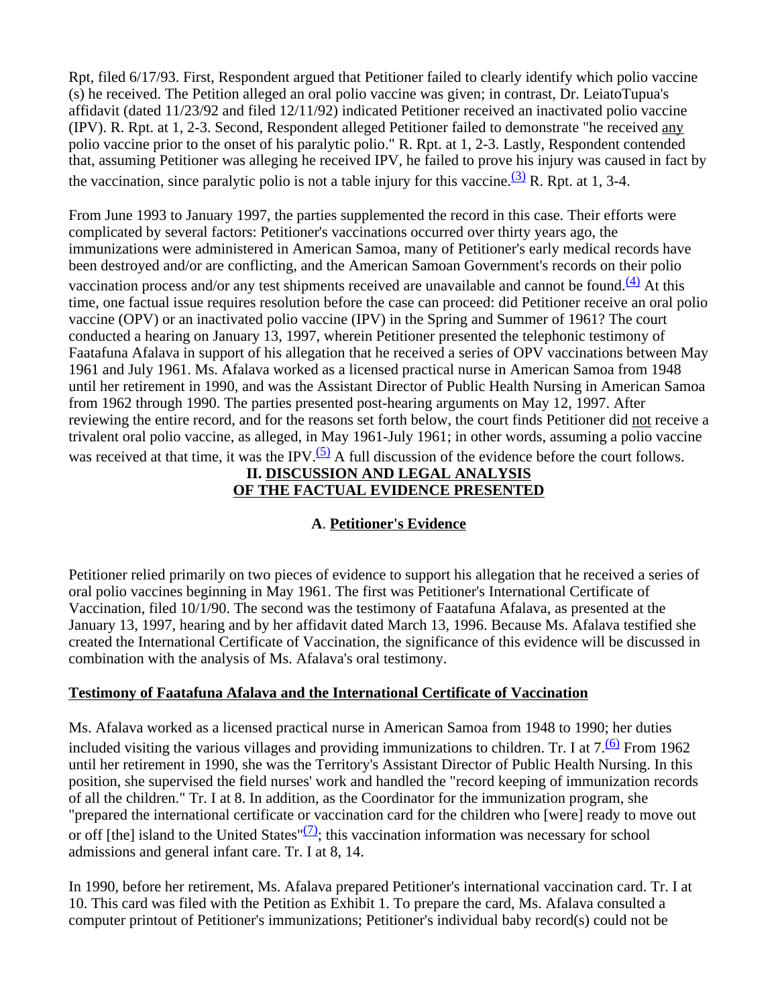Rpt, filed 6/17/93. First, Respondent argued that Petitioner failed to clearly identify which polio vaccine (s) he received. The Petition alleged an oral polio vaccine was given; in contrast, Dr. LeiatoTupua's affidavit (dated 11/23/92 and filed 12/11/92) indicated Petitioner received an inactivated polio vaccine (IPV). R. Rpt. at 1, 2-3. Second, Respondent alleged Petitioner failed to demonstrate "he received any polio vaccine prior to the onset of his paralytic polio." R. Rpt. at 1, 2-3. Lastly, Respondent contended that, assuming Petitioner was alleging he received IPV, he failed to prove his injury was caused in fact by the vaccination, since paralytic polio is not a table injury for this vaccine.  $(3)$  R. Rpt. at 1, 3-4.

From June 1993 to January 1997, the parties supplemented the record in this case. Their efforts were complicated by several factors: Petitioner's vaccinations occurred over thirty years ago, the immunizations were administered in American Samoa, many of Petitioner's early medical records have been destroyed and/or are conflicting, and the American Samoan Government's records on their polio vaccination process and/or any test shipments received are unavailable and cannot be found.<sup>(4)</sup> At this time, one factual issue requires resolution before the case can proceed: did Petitioner receive an oral polio vaccine (OPV) or an inactivated polio vaccine (IPV) in the Spring and Summer of 1961? The court conducted a hearing on January 13, 1997, wherein Petitioner presented the telephonic testimony of Faatafuna Afalava in support of his allegation that he received a series of OPV vaccinations between May 1961 and July 1961. Ms. Afalava worked as a licensed practical nurse in American Samoa from 1948 until her retirement in 1990, and was the Assistant Director of Public Health Nursing in American Samoa from 1962 through 1990. The parties presented post-hearing arguments on May 12, 1997. After reviewing the entire record, and for the reasons set forth below, the court finds Petitioner did not receive a trivalent oral polio vaccine, as alleged, in May 1961-July 1961; in other words, assuming a polio vaccine was received at that time, it was the IPV.<sup>(5)</sup> A full discussion of the evidence before the court follows.

# **II. DISCUSSION AND LEGAL ANALYSIS OF THE FACTUAL EVIDENCE PRESENTED**

# **A**. **Petitioner's Evidence**

Petitioner relied primarily on two pieces of evidence to support his allegation that he received a series of oral polio vaccines beginning in May 1961. The first was Petitioner's International Certificate of Vaccination, filed 10/1/90. The second was the testimony of Faatafuna Afalava, as presented at the January 13, 1997, hearing and by her affidavit dated March 13, 1996. Because Ms. Afalava testified she created the International Certificate of Vaccination, the significance of this evidence will be discussed in combination with the analysis of Ms. Afalava's oral testimony.

# **Testimony of Faatafuna Afalava and the International Certificate of Vaccination**

Ms. Afalava worked as a licensed practical nurse in American Samoa from 1948 to 1990; her duties included visiting the various villages and providing immunizations to children. Tr. I at  $7.\overline{60}$  From 1962 until her retirement in 1990, she was the Territory's Assistant Director of Public Health Nursing. In this position, she supervised the field nurses' work and handled the "record keeping of immunization records of all the children." Tr. I at 8. In addition, as the Coordinator for the immunization program, she "prepared the international certificate or vaccination card for the children who [were] ready to move out or off [the] island to the United States" $(2)$ ; this vaccination information was necessary for school admissions and general infant care. Tr. I at 8, 14.

In 1990, before her retirement, Ms. Afalava prepared Petitioner's international vaccination card. Tr. I at 10. This card was filed with the Petition as Exhibit 1. To prepare the card, Ms. Afalava consulted a computer printout of Petitioner's immunizations; Petitioner's individual baby record(s) could not be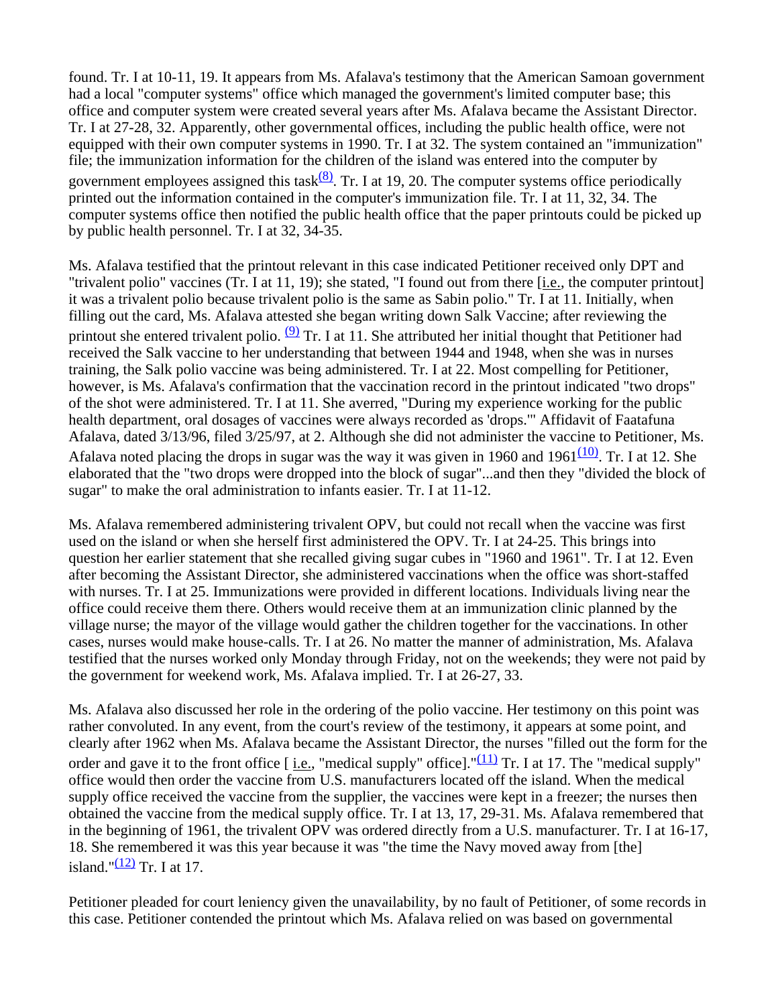found. Tr. I at 10-11, 19. It appears from Ms. Afalava's testimony that the American Samoan government had a local "computer systems" office which managed the government's limited computer base; this office and computer system were created several years after Ms. Afalava became the Assistant Director. Tr. I at 27-28, 32. Apparently, other governmental offices, including the public health office, were not equipped with their own computer systems in 1990. Tr. I at 32. The system contained an "immunization" file; the immunization information for the children of the island was entered into the computer by government employees assigned this task $\frac{(8)}{8}$ . Tr. I at 19, 20. The computer systems office periodically printed out the information contained in the computer's immunization file. Tr. I at 11, 32, 34. The computer systems office then notified the public health office that the paper printouts could be picked up by public health personnel. Tr. I at 32, 34-35.

Ms. Afalava testified that the printout relevant in this case indicated Petitioner received only DPT and "trivalent polio" vaccines (Tr. I at 11, 19); she stated, "I found out from there [*i.e.*, the computer printout] it was a trivalent polio because trivalent polio is the same as Sabin polio." Tr. I at 11. Initially, when filling out the card, Ms. Afalava attested she began writing down Salk Vaccine; after reviewing the printout she entered trivalent polio.  $(9)$  Tr. I at 11. She attributed her initial thought that Petitioner had received the Salk vaccine to her understanding that between 1944 and 1948, when she was in nurses training, the Salk polio vaccine was being administered. Tr. I at 22. Most compelling for Petitioner, however, is Ms. Afalava's confirmation that the vaccination record in the printout indicated "two drops" of the shot were administered. Tr. I at 11. She averred, "During my experience working for the public health department, oral dosages of vaccines were always recorded as 'drops.'" Affidavit of Faatafuna Afalava, dated 3/13/96, filed 3/25/97, at 2. Although she did not administer the vaccine to Petitioner, Ms. Afalava noted placing the drops in sugar was the way it was given in 1960 and 1961 $\frac{(10)}{(10)}$ . Tr. I at 12. She elaborated that the "two drops were dropped into the block of sugar"...and then they "divided the block of sugar" to make the oral administration to infants easier. Tr. I at 11-12.

Ms. Afalava remembered administering trivalent OPV, but could not recall when the vaccine was first used on the island or when she herself first administered the OPV. Tr. I at 24-25. This brings into question her earlier statement that she recalled giving sugar cubes in "1960 and 1961". Tr. I at 12. Even after becoming the Assistant Director, she administered vaccinations when the office was short-staffed with nurses. Tr. I at 25. Immunizations were provided in different locations. Individuals living near the office could receive them there. Others would receive them at an immunization clinic planned by the village nurse; the mayor of the village would gather the children together for the vaccinations. In other cases, nurses would make house-calls. Tr. I at 26. No matter the manner of administration, Ms. Afalava testified that the nurses worked only Monday through Friday, not on the weekends; they were not paid by the government for weekend work, Ms. Afalava implied. Tr. I at 26-27, 33.

Ms. Afalava also discussed her role in the ordering of the polio vaccine. Her testimony on this point was rather convoluted. In any event, from the court's review of the testimony, it appears at some point, and clearly after 1962 when Ms. Afalava became the Assistant Director, the nurses "filled out the form for the order and gave it to the front office [ <u>i.e.</u>, "medical supply" office]."<sup>(11)</sup> Tr. I at 17. The "medical supply" office would then order the vaccine from U.S. manufacturers located off the island. When the medical supply office received the vaccine from the supplier, the vaccines were kept in a freezer; the nurses then obtained the vaccine from the medical supply office. Tr. I at 13, 17, 29-31. Ms. Afalava remembered that in the beginning of 1961, the trivalent OPV was ordered directly from a U.S. manufacturer. Tr. I at 16-17, 18. She remembered it was this year because it was "the time the Navy moved away from [the] island." $\frac{(12)}{2}$  Tr. I at 17.

Petitioner pleaded for court leniency given the unavailability, by no fault of Petitioner, of some records in this case. Petitioner contended the printout which Ms. Afalava relied on was based on governmental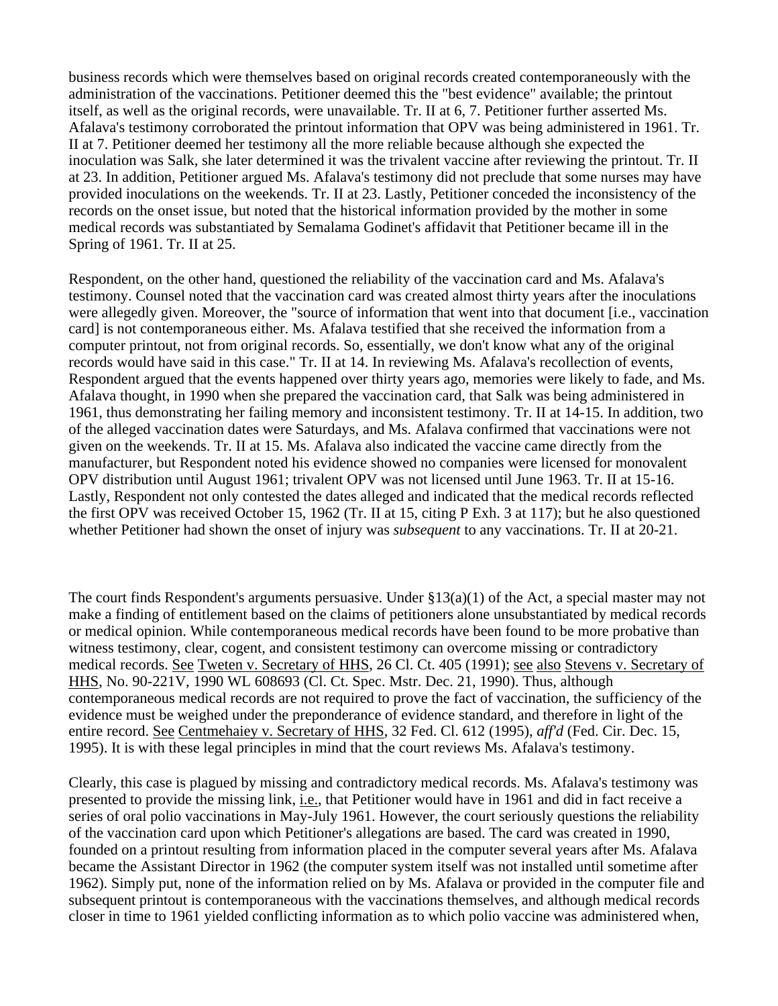business records which were themselves based on original records created contemporaneously with the administration of the vaccinations. Petitioner deemed this the "best evidence" available; the printout itself, as well as the original records, were unavailable. Tr. II at 6, 7. Petitioner further asserted Ms. Afalava's testimony corroborated the printout information that OPV was being administered in 1961. Tr. II at 7. Petitioner deemed her testimony all the more reliable because although she expected the inoculation was Salk, she later determined it was the trivalent vaccine after reviewing the printout. Tr. II at 23. In addition, Petitioner argued Ms. Afalava's testimony did not preclude that some nurses may have provided inoculations on the weekends. Tr. II at 23. Lastly, Petitioner conceded the inconsistency of the records on the onset issue, but noted that the historical information provided by the mother in some medical records was substantiated by Semalama Godinet's affidavit that Petitioner became ill in the Spring of 1961. Tr. II at 25.

Respondent, on the other hand, questioned the reliability of the vaccination card and Ms. Afalava's testimony. Counsel noted that the vaccination card was created almost thirty years after the inoculations were allegedly given. Moreover, the "source of information that went into that document [i.e., vaccination card] is not contemporaneous either. Ms. Afalava testified that she received the information from a computer printout, not from original records. So, essentially, we don't know what any of the original records would have said in this case." Tr. II at 14. In reviewing Ms. Afalava's recollection of events, Respondent argued that the events happened over thirty years ago, memories were likely to fade, and Ms. Afalava thought, in 1990 when she prepared the vaccination card, that Salk was being administered in 1961, thus demonstrating her failing memory and inconsistent testimony. Tr. II at 14-15. In addition, two of the alleged vaccination dates were Saturdays, and Ms. Afalava confirmed that vaccinations were not given on the weekends. Tr. II at 15. Ms. Afalava also indicated the vaccine came directly from the manufacturer, but Respondent noted his evidence showed no companies were licensed for monovalent OPV distribution until August 1961; trivalent OPV was not licensed until June 1963. Tr. II at 15-16. Lastly, Respondent not only contested the dates alleged and indicated that the medical records reflected the first OPV was received October 15, 1962 (Tr. II at 15, citing P Exh. 3 at 117); but he also questioned whether Petitioner had shown the onset of injury was *subsequent* to any vaccinations. Tr. II at 20-21.

The court finds Respondent's arguments persuasive. Under  $\S 13(a)(1)$  of the Act, a special master may not make a finding of entitlement based on the claims of petitioners alone unsubstantiated by medical records or medical opinion. While contemporaneous medical records have been found to be more probative than witness testimony, clear, cogent, and consistent testimony can overcome missing or contradictory medical records. See Tweten v. Secretary of HHS, 26 Cl. Ct. 405 (1991); see also Stevens v. Secretary of HHS, No. 90-221V, 1990 WL 608693 (Cl. Ct. Spec. Mstr. Dec. 21, 1990). Thus, although contemporaneous medical records are not required to prove the fact of vaccination, the sufficiency of the evidence must be weighed under the preponderance of evidence standard, and therefore in light of the entire record. See Centmehaiey v. Secretary of HHS, 32 Fed. Cl. 612 (1995), *aff'd* (Fed. Cir. Dec. 15, 1995). It is with these legal principles in mind that the court reviews Ms. Afalava's testimony.

Clearly, this case is plagued by missing and contradictory medical records. Ms. Afalava's testimony was presented to provide the missing link, i.e., that Petitioner would have in 1961 and did in fact receive a series of oral polio vaccinations in May-July 1961. However, the court seriously questions the reliability of the vaccination card upon which Petitioner's allegations are based. The card was created in 1990, founded on a printout resulting from information placed in the computer several years after Ms. Afalava became the Assistant Director in 1962 (the computer system itself was not installed until sometime after 1962). Simply put, none of the information relied on by Ms. Afalava or provided in the computer file and subsequent printout is contemporaneous with the vaccinations themselves, and although medical records closer in time to 1961 yielded conflicting information as to which polio vaccine was administered when,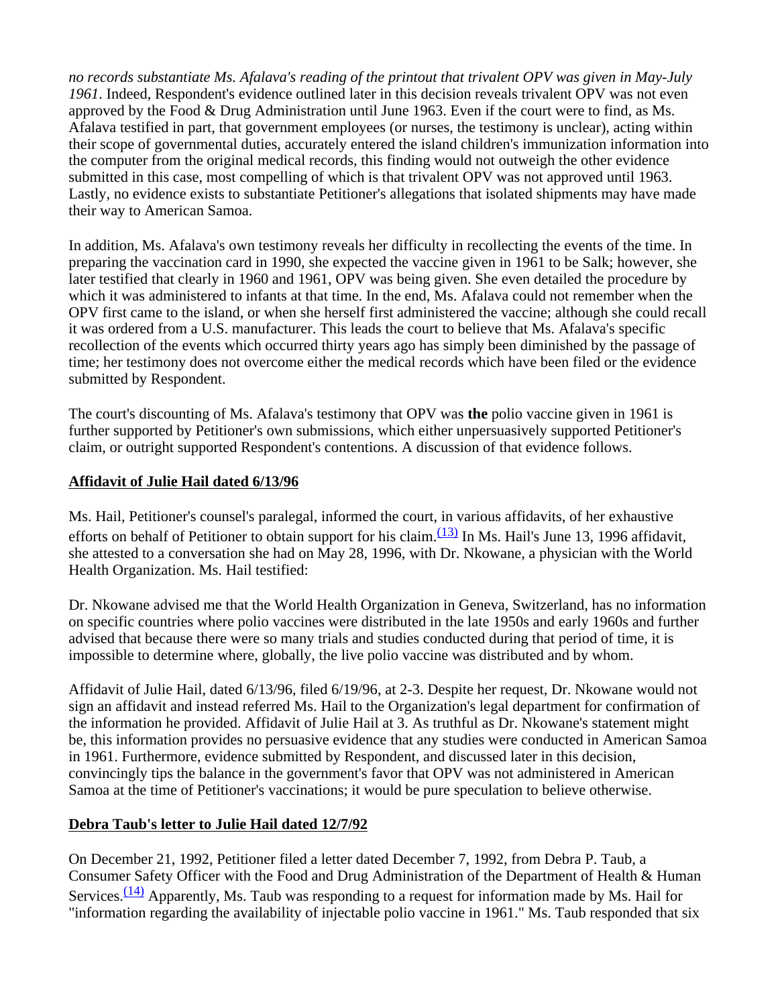*no records substantiate Ms. Afalava's reading of the printout that trivalent OPV was given in May-July 1961*. Indeed, Respondent's evidence outlined later in this decision reveals trivalent OPV was not even approved by the Food & Drug Administration until June 1963. Even if the court were to find, as Ms. Afalava testified in part, that government employees (or nurses, the testimony is unclear), acting within their scope of governmental duties, accurately entered the island children's immunization information into the computer from the original medical records, this finding would not outweigh the other evidence submitted in this case, most compelling of which is that trivalent OPV was not approved until 1963. Lastly, no evidence exists to substantiate Petitioner's allegations that isolated shipments may have made their way to American Samoa.

In addition, Ms. Afalava's own testimony reveals her difficulty in recollecting the events of the time. In preparing the vaccination card in 1990, she expected the vaccine given in 1961 to be Salk; however, she later testified that clearly in 1960 and 1961, OPV was being given. She even detailed the procedure by which it was administered to infants at that time. In the end, Ms. Afalava could not remember when the OPV first came to the island, or when she herself first administered the vaccine; although she could recall it was ordered from a U.S. manufacturer. This leads the court to believe that Ms. Afalava's specific recollection of the events which occurred thirty years ago has simply been diminished by the passage of time; her testimony does not overcome either the medical records which have been filed or the evidence submitted by Respondent.

The court's discounting of Ms. Afalava's testimony that OPV was **the** polio vaccine given in 1961 is further supported by Petitioner's own submissions, which either unpersuasively supported Petitioner's claim, or outright supported Respondent's contentions. A discussion of that evidence follows.

# **Affidavit of Julie Hail dated 6/13/96**

Ms. Hail, Petitioner's counsel's paralegal, informed the court, in various affidavits, of her exhaustive efforts on behalf of Petitioner to obtain support for his claim. $\frac{(13)}{(13)}$  In Ms. Hail's June 13, 1996 affidavit, she attested to a conversation she had on May 28, 1996, with Dr. Nkowane, a physician with the World Health Organization. Ms. Hail testified:

Dr. Nkowane advised me that the World Health Organization in Geneva, Switzerland, has no information on specific countries where polio vaccines were distributed in the late 1950s and early 1960s and further advised that because there were so many trials and studies conducted during that period of time, it is impossible to determine where, globally, the live polio vaccine was distributed and by whom.

Affidavit of Julie Hail, dated 6/13/96, filed 6/19/96, at 2-3. Despite her request, Dr. Nkowane would not sign an affidavit and instead referred Ms. Hail to the Organization's legal department for confirmation of the information he provided. Affidavit of Julie Hail at 3. As truthful as Dr. Nkowane's statement might be, this information provides no persuasive evidence that any studies were conducted in American Samoa in 1961. Furthermore, evidence submitted by Respondent, and discussed later in this decision, convincingly tips the balance in the government's favor that OPV was not administered in American Samoa at the time of Petitioner's vaccinations; it would be pure speculation to believe otherwise.

# **Debra Taub's letter to Julie Hail dated 12/7/92**

On December 21, 1992, Petitioner filed a letter dated December 7, 1992, from Debra P. Taub, a Consumer Safety Officer with the Food and Drug Administration of the Department of Health & Human Services. $\frac{(14)}{14}$  Apparently, Ms. Taub was responding to a request for information made by Ms. Hail for "information regarding the availability of injectable polio vaccine in 1961." Ms. Taub responded that six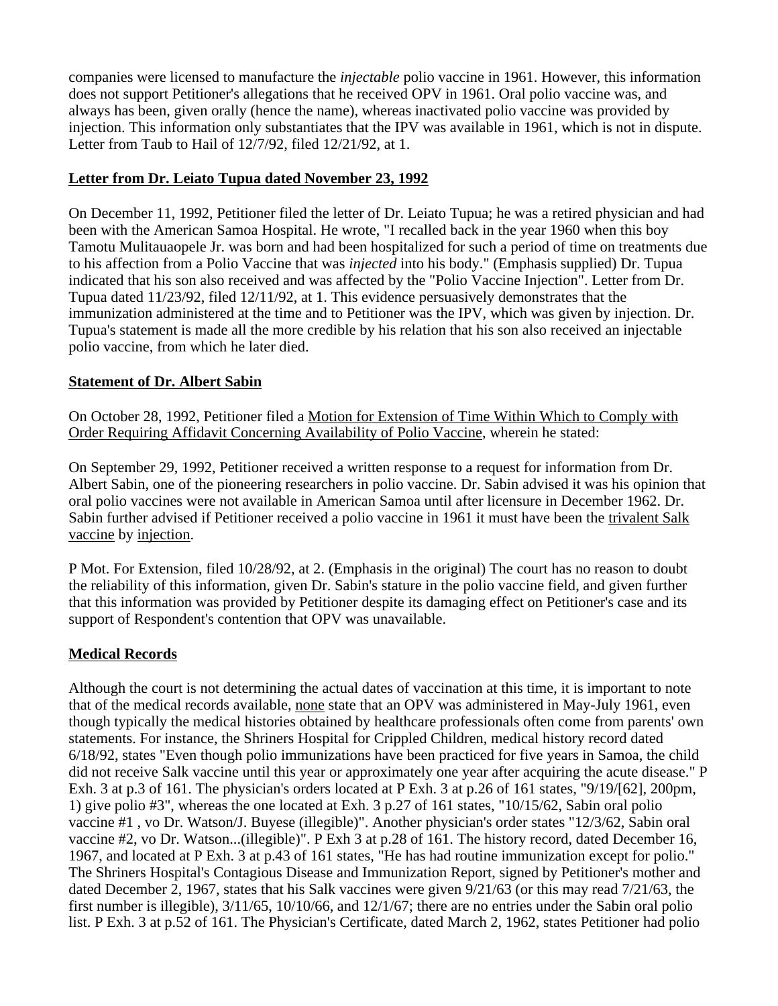companies were licensed to manufacture the *injectable* polio vaccine in 1961. However, this information does not support Petitioner's allegations that he received OPV in 1961. Oral polio vaccine was, and always has been, given orally (hence the name), whereas inactivated polio vaccine was provided by injection. This information only substantiates that the IPV was available in 1961, which is not in dispute. Letter from Taub to Hail of 12/7/92, filed 12/21/92, at 1.

#### **Letter from Dr. Leiato Tupua dated November 23, 1992**

On December 11, 1992, Petitioner filed the letter of Dr. Leiato Tupua; he was a retired physician and had been with the American Samoa Hospital. He wrote, "I recalled back in the year 1960 when this boy Tamotu Mulitauaopele Jr. was born and had been hospitalized for such a period of time on treatments due to his affection from a Polio Vaccine that was *injected* into his body." (Emphasis supplied) Dr. Tupua indicated that his son also received and was affected by the "Polio Vaccine Injection". Letter from Dr. Tupua dated 11/23/92, filed 12/11/92, at 1. This evidence persuasively demonstrates that the immunization administered at the time and to Petitioner was the IPV, which was given by injection. Dr. Tupua's statement is made all the more credible by his relation that his son also received an injectable polio vaccine, from which he later died.

#### **Statement of Dr. Albert Sabin**

On October 28, 1992, Petitioner filed a Motion for Extension of Time Within Which to Comply with Order Requiring Affidavit Concerning Availability of Polio Vaccine, wherein he stated:

On September 29, 1992, Petitioner received a written response to a request for information from Dr. Albert Sabin, one of the pioneering researchers in polio vaccine. Dr. Sabin advised it was his opinion that oral polio vaccines were not available in American Samoa until after licensure in December 1962. Dr. Sabin further advised if Petitioner received a polio vaccine in 1961 it must have been the trivalent Salk vaccine by injection.

P Mot. For Extension, filed 10/28/92, at 2. (Emphasis in the original) The court has no reason to doubt the reliability of this information, given Dr. Sabin's stature in the polio vaccine field, and given further that this information was provided by Petitioner despite its damaging effect on Petitioner's case and its support of Respondent's contention that OPV was unavailable.

# **Medical Records**

Although the court is not determining the actual dates of vaccination at this time, it is important to note that of the medical records available, none state that an OPV was administered in May-July 1961, even though typically the medical histories obtained by healthcare professionals often come from parents' own statements. For instance, the Shriners Hospital for Crippled Children, medical history record dated 6/18/92, states "Even though polio immunizations have been practiced for five years in Samoa, the child did not receive Salk vaccine until this year or approximately one year after acquiring the acute disease." P Exh. 3 at p.3 of 161. The physician's orders located at P Exh. 3 at p.26 of 161 states, "9/19/[62], 200pm, 1) give polio #3", whereas the one located at Exh. 3 p.27 of 161 states, "10/15/62, Sabin oral polio vaccine #1 , vo Dr. Watson/J. Buyese (illegible)". Another physician's order states "12/3/62, Sabin oral vaccine #2, vo Dr. Watson...(illegible)". P Exh 3 at p.28 of 161. The history record, dated December 16, 1967, and located at P Exh. 3 at p.43 of 161 states, "He has had routine immunization except for polio." The Shriners Hospital's Contagious Disease and Immunization Report, signed by Petitioner's mother and dated December 2, 1967, states that his Salk vaccines were given 9/21/63 (or this may read 7/21/63, the first number is illegible), 3/11/65, 10/10/66, and 12/1/67; there are no entries under the Sabin oral polio list. P Exh. 3 at p.52 of 161. The Physician's Certificate, dated March 2, 1962, states Petitioner had polio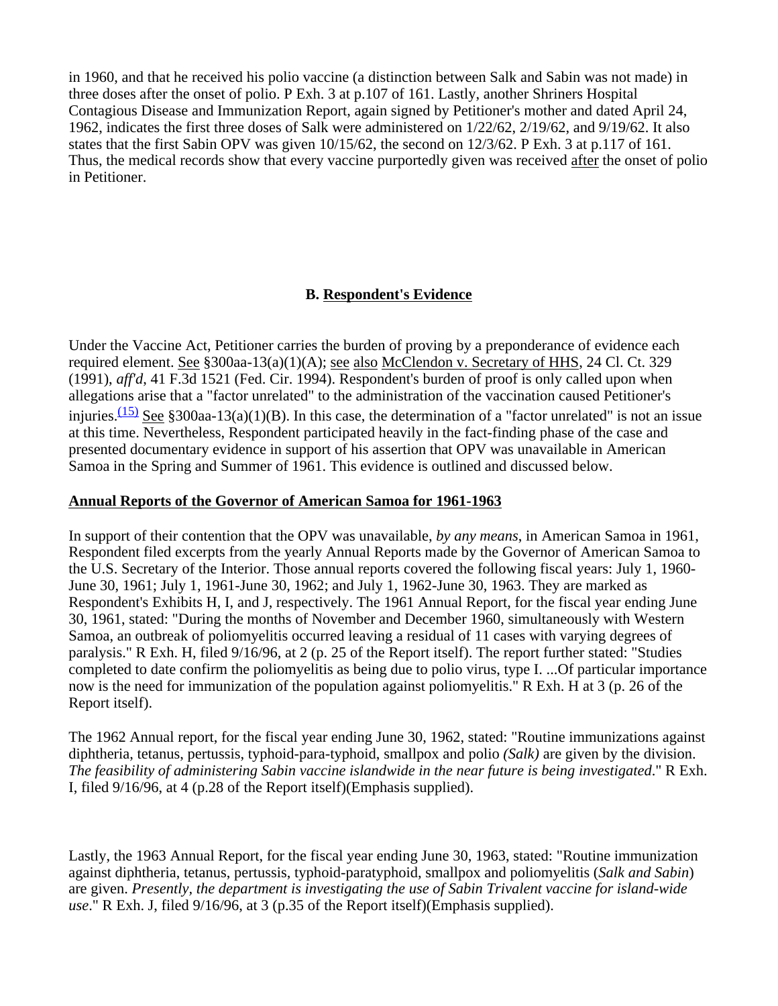in 1960, and that he received his polio vaccine (a distinction between Salk and Sabin was not made) in three doses after the onset of polio. P Exh. 3 at p.107 of 161. Lastly, another Shriners Hospital Contagious Disease and Immunization Report, again signed by Petitioner's mother and dated April 24, 1962, indicates the first three doses of Salk were administered on 1/22/62, 2/19/62, and 9/19/62. It also states that the first Sabin OPV was given 10/15/62, the second on 12/3/62. P Exh. 3 at p.117 of 161. Thus, the medical records show that every vaccine purportedly given was received after the onset of polio in Petitioner.

# **B. Respondent's Evidence**

Under the Vaccine Act, Petitioner carries the burden of proving by a preponderance of evidence each required element. See §300aa-13(a)(1)(A); see also McClendon v. Secretary of HHS, 24 Cl. Ct. 329 (1991), *aff'd*, 41 F.3d 1521 (Fed. Cir. 1994). Respondent's burden of proof is only called upon when allegations arise that a "factor unrelated" to the administration of the vaccination caused Petitioner's injuries.<sup>(15)</sup> See §300aa-13(a)(1)(B). In this case, the determination of a "factor unrelated" is not an issue at this time. Nevertheless, Respondent participated heavily in the fact-finding phase of the case and presented documentary evidence in support of his assertion that OPV was unavailable in American Samoa in the Spring and Summer of 1961. This evidence is outlined and discussed below.

#### **Annual Reports of the Governor of American Samoa for 1961-1963**

In support of their contention that the OPV was unavailable, *by any means*, in American Samoa in 1961, Respondent filed excerpts from the yearly Annual Reports made by the Governor of American Samoa to the U.S. Secretary of the Interior. Those annual reports covered the following fiscal years: July 1, 1960- June 30, 1961; July 1, 1961-June 30, 1962; and July 1, 1962-June 30, 1963. They are marked as Respondent's Exhibits H, I, and J, respectively. The 1961 Annual Report, for the fiscal year ending June 30, 1961, stated: "During the months of November and December 1960, simultaneously with Western Samoa, an outbreak of poliomyelitis occurred leaving a residual of 11 cases with varying degrees of paralysis." R Exh. H, filed 9/16/96, at 2 (p. 25 of the Report itself). The report further stated: "Studies completed to date confirm the poliomyelitis as being due to polio virus, type I. ...Of particular importance now is the need for immunization of the population against poliomyelitis." R Exh. H at 3 (p. 26 of the Report itself).

The 1962 Annual report, for the fiscal year ending June 30, 1962, stated: "Routine immunizations against diphtheria, tetanus, pertussis, typhoid-para-typhoid, smallpox and polio *(Salk)* are given by the division. *The feasibility of administering Sabin vaccine islandwide in the near future is being investigated*." R Exh. I, filed 9/16/96, at 4 (p.28 of the Report itself)(Emphasis supplied).

Lastly, the 1963 Annual Report, for the fiscal year ending June 30, 1963, stated: "Routine immunization against diphtheria, tetanus, pertussis, typhoid-paratyphoid, smallpox and poliomyelitis (*Salk and Sabin*) are given. *Presently, the department is investigating the use of Sabin Trivalent vaccine for island-wide use*." R Exh. J, filed 9/16/96, at 3 (p.35 of the Report itself)(Emphasis supplied).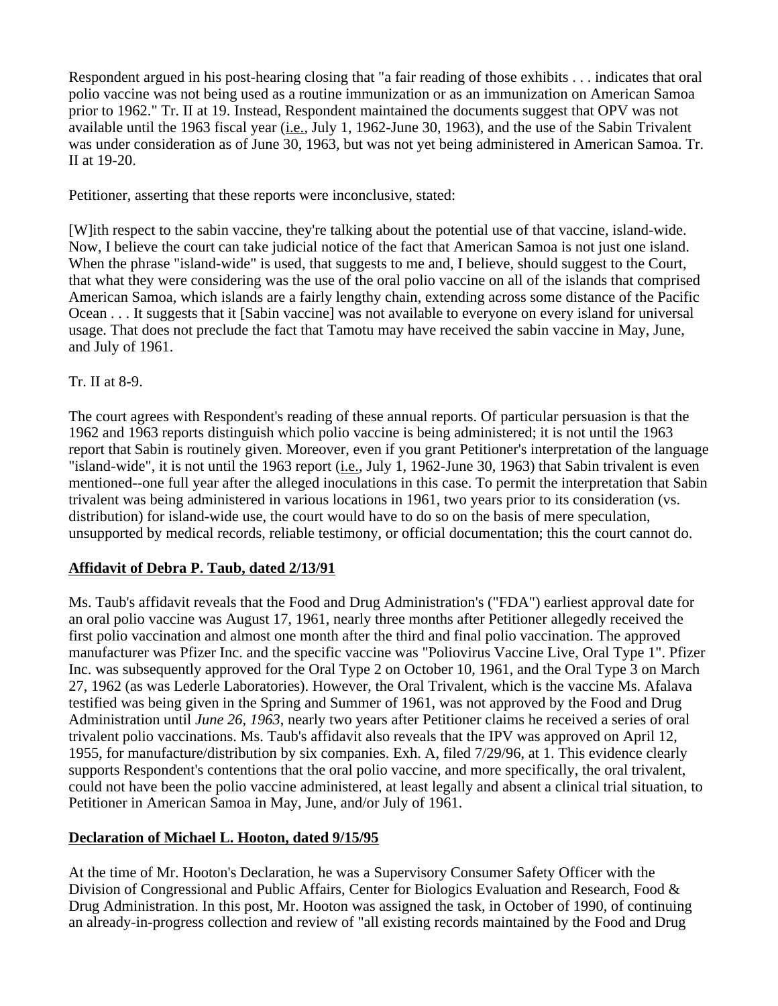Respondent argued in his post-hearing closing that "a fair reading of those exhibits . . . indicates that oral polio vaccine was not being used as a routine immunization or as an immunization on American Samoa prior to 1962." Tr. II at 19. Instead, Respondent maintained the documents suggest that OPV was not available until the 1963 fiscal year (i.e., July 1, 1962-June 30, 1963), and the use of the Sabin Trivalent was under consideration as of June 30, 1963, but was not yet being administered in American Samoa. Tr. II at 19-20.

Petitioner, asserting that these reports were inconclusive, stated:

[W]ith respect to the sabin vaccine, they're talking about the potential use of that vaccine, island-wide. Now, I believe the court can take judicial notice of the fact that American Samoa is not just one island. When the phrase "island-wide" is used, that suggests to me and, I believe, should suggest to the Court, that what they were considering was the use of the oral polio vaccine on all of the islands that comprised American Samoa, which islands are a fairly lengthy chain, extending across some distance of the Pacific Ocean . . . It suggests that it [Sabin vaccine] was not available to everyone on every island for universal usage. That does not preclude the fact that Tamotu may have received the sabin vaccine in May, June, and July of 1961.

#### Tr. II at 8-9.

The court agrees with Respondent's reading of these annual reports. Of particular persuasion is that the 1962 and 1963 reports distinguish which polio vaccine is being administered; it is not until the 1963 report that Sabin is routinely given. Moreover, even if you grant Petitioner's interpretation of the language "island-wide", it is not until the 1963 report (*i.e.*, July 1, 1962-June 30, 1963) that Sabin trivalent is even mentioned--one full year after the alleged inoculations in this case. To permit the interpretation that Sabin trivalent was being administered in various locations in 1961, two years prior to its consideration (vs. distribution) for island-wide use, the court would have to do so on the basis of mere speculation, unsupported by medical records, reliable testimony, or official documentation; this the court cannot do.

# **Affidavit of Debra P. Taub, dated 2/13/91**

Ms. Taub's affidavit reveals that the Food and Drug Administration's ("FDA") earliest approval date for an oral polio vaccine was August 17, 1961, nearly three months after Petitioner allegedly received the first polio vaccination and almost one month after the third and final polio vaccination. The approved manufacturer was Pfizer Inc. and the specific vaccine was "Poliovirus Vaccine Live, Oral Type 1". Pfizer Inc. was subsequently approved for the Oral Type 2 on October 10, 1961, and the Oral Type 3 on March 27, 1962 (as was Lederle Laboratories). However, the Oral Trivalent, which is the vaccine Ms. Afalava testified was being given in the Spring and Summer of 1961, was not approved by the Food and Drug Administration until *June 26, 1963*, nearly two years after Petitioner claims he received a series of oral trivalent polio vaccinations. Ms. Taub's affidavit also reveals that the IPV was approved on April 12, 1955, for manufacture/distribution by six companies. Exh. A, filed 7/29/96, at 1. This evidence clearly supports Respondent's contentions that the oral polio vaccine, and more specifically, the oral trivalent, could not have been the polio vaccine administered, at least legally and absent a clinical trial situation, to Petitioner in American Samoa in May, June, and/or July of 1961.

# **Declaration of Michael L. Hooton, dated 9/15/95**

At the time of Mr. Hooton's Declaration, he was a Supervisory Consumer Safety Officer with the Division of Congressional and Public Affairs, Center for Biologics Evaluation and Research, Food & Drug Administration. In this post, Mr. Hooton was assigned the task, in October of 1990, of continuing an already-in-progress collection and review of "all existing records maintained by the Food and Drug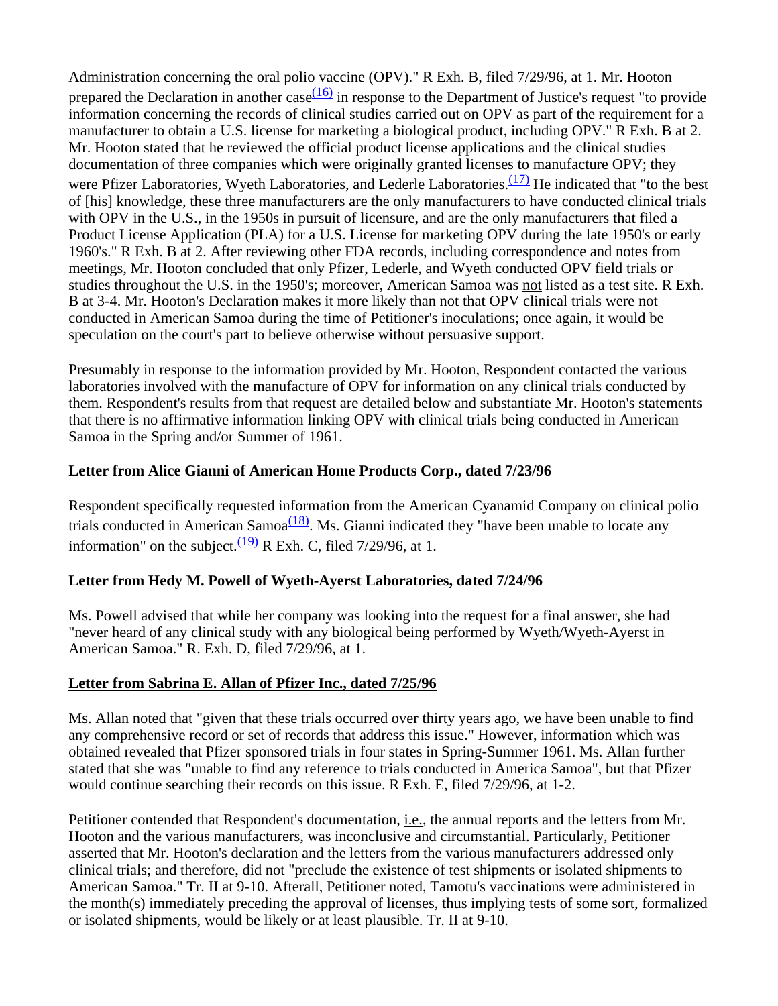Administration concerning the oral polio vaccine (OPV)." R Exh. B, filed 7/29/96, at 1. Mr. Hooton prepared the Declaration in another case  $\frac{(16)}{10}$  in response to the Department of Justice's request "to provide" information concerning the records of clinical studies carried out on OPV as part of the requirement for a manufacturer to obtain a U.S. license for marketing a biological product, including OPV." R Exh. B at 2. Mr. Hooton stated that he reviewed the official product license applications and the clinical studies documentation of three companies which were originally granted licenses to manufacture OPV; they were Pfizer Laboratories, Wyeth Laboratories, and Lederle Laboratories. $(17)$  He indicated that "to the best of [his] knowledge, these three manufacturers are the only manufacturers to have conducted clinical trials with OPV in the U.S., in the 1950s in pursuit of licensure, and are the only manufacturers that filed a Product License Application (PLA) for a U.S. License for marketing OPV during the late 1950's or early 1960's." R Exh. B at 2. After reviewing other FDA records, including correspondence and notes from meetings, Mr. Hooton concluded that only Pfizer, Lederle, and Wyeth conducted OPV field trials or studies throughout the U.S. in the 1950's; moreover, American Samoa was not listed as a test site. R Exh. B at 3-4. Mr. Hooton's Declaration makes it more likely than not that OPV clinical trials were not conducted in American Samoa during the time of Petitioner's inoculations; once again, it would be speculation on the court's part to believe otherwise without persuasive support.

Presumably in response to the information provided by Mr. Hooton, Respondent contacted the various laboratories involved with the manufacture of OPV for information on any clinical trials conducted by them. Respondent's results from that request are detailed below and substantiate Mr. Hooton's statements that there is no affirmative information linking OPV with clinical trials being conducted in American Samoa in the Spring and/or Summer of 1961.

# **Letter from Alice Gianni of American Home Products Corp., dated 7/23/96**

Respondent specifically requested information from the American Cyanamid Company on clinical polio trials conducted in American Samoa $\frac{(18)}{8}$ . Ms. Gianni indicated they "have been unable to locate any information" on the subject. $\frac{(19)}{28}$  R Exh. C, filed 7/29/96, at 1.

# **Letter from Hedy M. Powell of Wyeth-Ayerst Laboratories, dated 7/24/96**

Ms. Powell advised that while her company was looking into the request for a final answer, she had "never heard of any clinical study with any biological being performed by Wyeth/Wyeth-Ayerst in American Samoa." R. Exh. D, filed 7/29/96, at 1.

# **Letter from Sabrina E. Allan of Pfizer Inc., dated 7/25/96**

Ms. Allan noted that "given that these trials occurred over thirty years ago, we have been unable to find any comprehensive record or set of records that address this issue." However, information which was obtained revealed that Pfizer sponsored trials in four states in Spring-Summer 1961. Ms. Allan further stated that she was "unable to find any reference to trials conducted in America Samoa", but that Pfizer would continue searching their records on this issue. R Exh. E, filed 7/29/96, at 1-2.

Petitioner contended that Respondent's documentation, i.e., the annual reports and the letters from Mr. Hooton and the various manufacturers, was inconclusive and circumstantial. Particularly, Petitioner asserted that Mr. Hooton's declaration and the letters from the various manufacturers addressed only clinical trials; and therefore, did not "preclude the existence of test shipments or isolated shipments to American Samoa." Tr. II at 9-10. Afterall, Petitioner noted, Tamotu's vaccinations were administered in the month(s) immediately preceding the approval of licenses, thus implying tests of some sort, formalized or isolated shipments, would be likely or at least plausible. Tr. II at 9-10.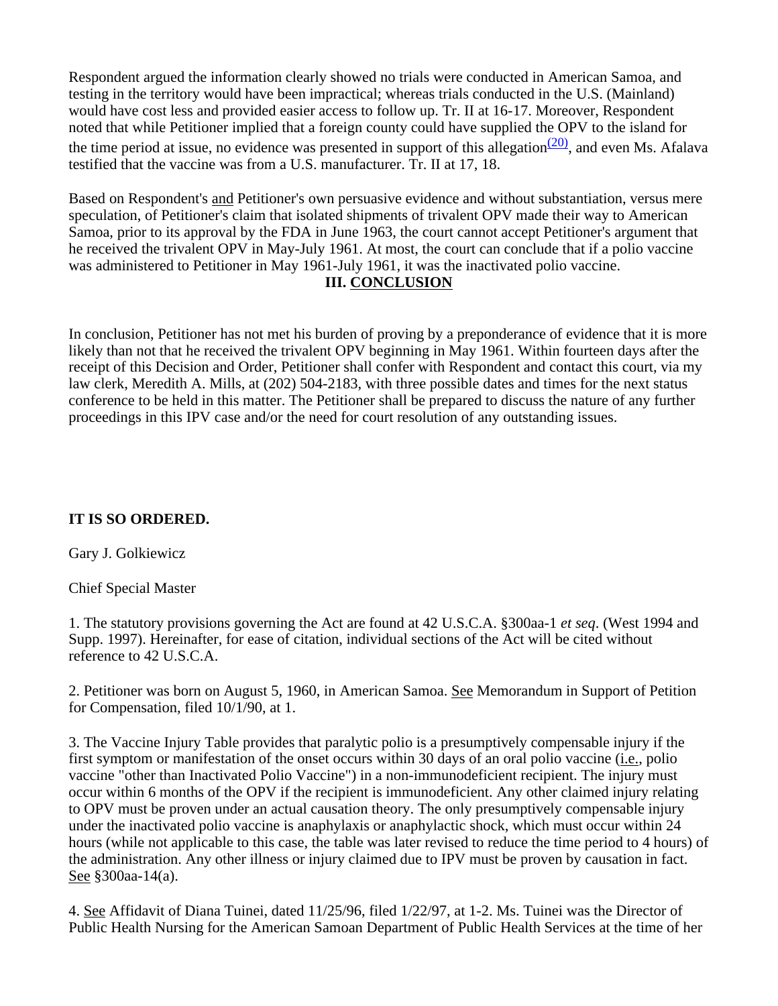Respondent argued the information clearly showed no trials were conducted in American Samoa, and testing in the territory would have been impractical; whereas trials conducted in the U.S. (Mainland) would have cost less and provided easier access to follow up. Tr. II at 16-17. Moreover, Respondent noted that while Petitioner implied that a foreign county could have supplied the OPV to the island for the time period at issue, no evidence was presented in support of this allegation $\frac{(20)}{20}$ , and even Ms. Afalava testified that the vaccine was from a U.S. manufacturer. Tr. II at 17, 18.

Based on Respondent's and Petitioner's own persuasive evidence and without substantiation, versus mere speculation, of Petitioner's claim that isolated shipments of trivalent OPV made their way to American Samoa, prior to its approval by the FDA in June 1963, the court cannot accept Petitioner's argument that he received the trivalent OPV in May-July 1961. At most, the court can conclude that if a polio vaccine was administered to Petitioner in May 1961-July 1961, it was the inactivated polio vaccine.

#### **III. CONCLUSION**

In conclusion, Petitioner has not met his burden of proving by a preponderance of evidence that it is more likely than not that he received the trivalent OPV beginning in May 1961. Within fourteen days after the receipt of this Decision and Order, Petitioner shall confer with Respondent and contact this court, via my law clerk, Meredith A. Mills, at (202) 504-2183, with three possible dates and times for the next status conference to be held in this matter. The Petitioner shall be prepared to discuss the nature of any further proceedings in this IPV case and/or the need for court resolution of any outstanding issues.

# **IT IS SO ORDERED.**

Gary J. Golkiewicz

Chief Special Master

1. The statutory provisions governing the Act are found at 42 U.S.C.A. §300aa-1 *et seq*. (West 1994 and Supp. 1997). Hereinafter, for ease of citation, individual sections of the Act will be cited without reference to 42 U.S.C.A.

2. Petitioner was born on August 5, 1960, in American Samoa. See Memorandum in Support of Petition for Compensation, filed 10/1/90, at 1.

3. The Vaccine Injury Table provides that paralytic polio is a presumptively compensable injury if the first symptom or manifestation of the onset occurs within 30 days of an oral polio vaccine (i.e., polio vaccine "other than Inactivated Polio Vaccine") in a non-immunodeficient recipient. The injury must occur within 6 months of the OPV if the recipient is immunodeficient. Any other claimed injury relating to OPV must be proven under an actual causation theory. The only presumptively compensable injury under the inactivated polio vaccine is anaphylaxis or anaphylactic shock, which must occur within 24 hours (while not applicable to this case, the table was later revised to reduce the time period to 4 hours) of the administration. Any other illness or injury claimed due to IPV must be proven by causation in fact. See §300aa-14(a).

4. See Affidavit of Diana Tuinei, dated 11/25/96, filed 1/22/97, at 1-2. Ms. Tuinei was the Director of Public Health Nursing for the American Samoan Department of Public Health Services at the time of her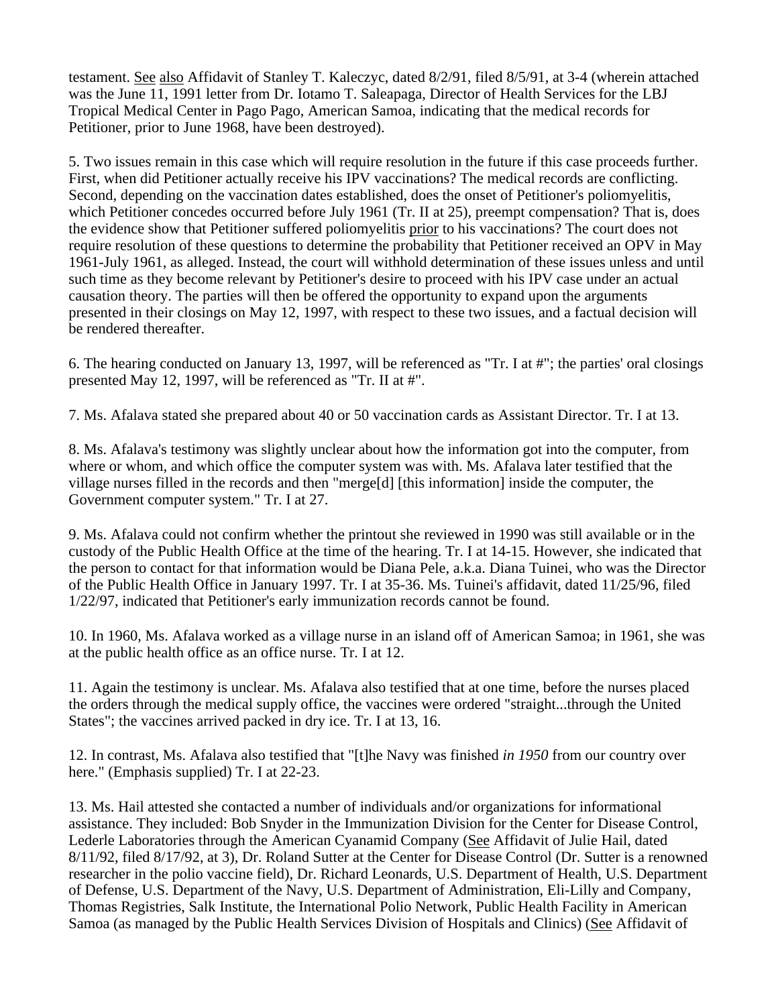testament. See also Affidavit of Stanley T. Kaleczyc, dated 8/2/91, filed 8/5/91, at 3-4 (wherein attached was the June 11, 1991 letter from Dr. Iotamo T. Saleapaga, Director of Health Services for the LBJ Tropical Medical Center in Pago Pago, American Samoa, indicating that the medical records for Petitioner, prior to June 1968, have been destroyed).

5. Two issues remain in this case which will require resolution in the future if this case proceeds further. First, when did Petitioner actually receive his IPV vaccinations? The medical records are conflicting. Second, depending on the vaccination dates established, does the onset of Petitioner's poliomyelitis, which Petitioner concedes occurred before July 1961 (Tr. II at 25), preempt compensation? That is, does the evidence show that Petitioner suffered poliomyelitis prior to his vaccinations? The court does not require resolution of these questions to determine the probability that Petitioner received an OPV in May 1961-July 1961, as alleged. Instead, the court will withhold determination of these issues unless and until such time as they become relevant by Petitioner's desire to proceed with his IPV case under an actual causation theory. The parties will then be offered the opportunity to expand upon the arguments presented in their closings on May 12, 1997, with respect to these two issues, and a factual decision will be rendered thereafter.

6. The hearing conducted on January 13, 1997, will be referenced as "Tr. I at #"; the parties' oral closings presented May 12, 1997, will be referenced as "Tr. II at #".

7. Ms. Afalava stated she prepared about 40 or 50 vaccination cards as Assistant Director. Tr. I at 13.

8. Ms. Afalava's testimony was slightly unclear about how the information got into the computer, from where or whom, and which office the computer system was with. Ms. Afalava later testified that the village nurses filled in the records and then "merge[d] [this information] inside the computer, the Government computer system." Tr. I at 27.

9. Ms. Afalava could not confirm whether the printout she reviewed in 1990 was still available or in the custody of the Public Health Office at the time of the hearing. Tr. I at 14-15. However, she indicated that the person to contact for that information would be Diana Pele, a.k.a. Diana Tuinei, who was the Director of the Public Health Office in January 1997. Tr. I at 35-36. Ms. Tuinei's affidavit, dated 11/25/96, filed 1/22/97, indicated that Petitioner's early immunization records cannot be found.

10. In 1960, Ms. Afalava worked as a village nurse in an island off of American Samoa; in 1961, she was at the public health office as an office nurse. Tr. I at 12.

11. Again the testimony is unclear. Ms. Afalava also testified that at one time, before the nurses placed the orders through the medical supply office, the vaccines were ordered "straight...through the United States"; the vaccines arrived packed in dry ice. Tr. I at 13, 16.

12. In contrast, Ms. Afalava also testified that "[t]he Navy was finished *in 1950* from our country over here." (Emphasis supplied) Tr. I at 22-23.

13. Ms. Hail attested she contacted a number of individuals and/or organizations for informational assistance. They included: Bob Snyder in the Immunization Division for the Center for Disease Control, Lederle Laboratories through the American Cyanamid Company (See Affidavit of Julie Hail, dated 8/11/92, filed 8/17/92, at 3), Dr. Roland Sutter at the Center for Disease Control (Dr. Sutter is a renowned researcher in the polio vaccine field), Dr. Richard Leonards, U.S. Department of Health, U.S. Department of Defense, U.S. Department of the Navy, U.S. Department of Administration, Eli-Lilly and Company, Thomas Registries, Salk Institute, the International Polio Network, Public Health Facility in American Samoa (as managed by the Public Health Services Division of Hospitals and Clinics) (See Affidavit of